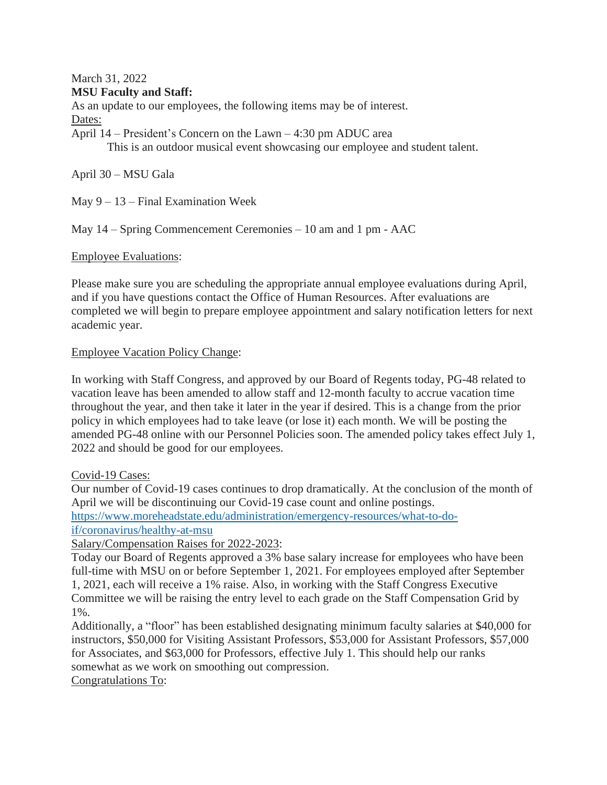March 31, 2022

# **MSU Faculty and Staff:**

As an update to our employees, the following items may be of interest. Dates:

April 14 – President's Concern on the Lawn – 4:30 pm ADUC area This is an outdoor musical event showcasing our employee and student talent.

April 30 – MSU Gala

May  $9 - 13$  – Final Examination Week

May 14 – Spring Commencement Ceremonies – 10 am and 1 pm - AAC

# Employee Evaluations:

Please make sure you are scheduling the appropriate annual employee evaluations during April, and if you have questions contact the Office of Human Resources. After evaluations are completed we will begin to prepare employee appointment and salary notification letters for next academic year.

# Employee Vacation Policy Change:

In working with Staff Congress, and approved by our Board of Regents today, PG-48 related to vacation leave has been amended to allow staff and 12-month faculty to accrue vacation time throughout the year, and then take it later in the year if desired. This is a change from the prior policy in which employees had to take leave (or lose it) each month. We will be posting the amended PG-48 online with our Personnel Policies soon. The amended policy takes effect July 1, 2022 and should be good for our employees.

### Covid-19 Cases:

Our number of Covid-19 cases continues to drop dramatically. At the conclusion of the month of April we will be discontinuing our Covid-19 case count and online postings. [https://www.moreheadstate.edu/administration/emergency-resources/what-to-do](https://www.moreheadstate.edu/administration/emergency-resources/what-to-do-if/coronavirus/healthy-at-msu)[if/coronavirus/healthy-at-msu](https://www.moreheadstate.edu/administration/emergency-resources/what-to-do-if/coronavirus/healthy-at-msu)

Salary/Compensation Raises for 2022-2023:

Today our Board of Regents approved a 3% base salary increase for employees who have been full-time with MSU on or before September 1, 2021. For employees employed after September 1, 2021, each will receive a 1% raise. Also, in working with the Staff Congress Executive Committee we will be raising the entry level to each grade on the Staff Compensation Grid by 1%.

Additionally, a "floor" has been established designating minimum faculty salaries at \$40,000 for instructors, \$50,000 for Visiting Assistant Professors, \$53,000 for Assistant Professors, \$57,000 for Associates, and \$63,000 for Professors, effective July 1. This should help our ranks somewhat as we work on smoothing out compression.

Congratulations To: